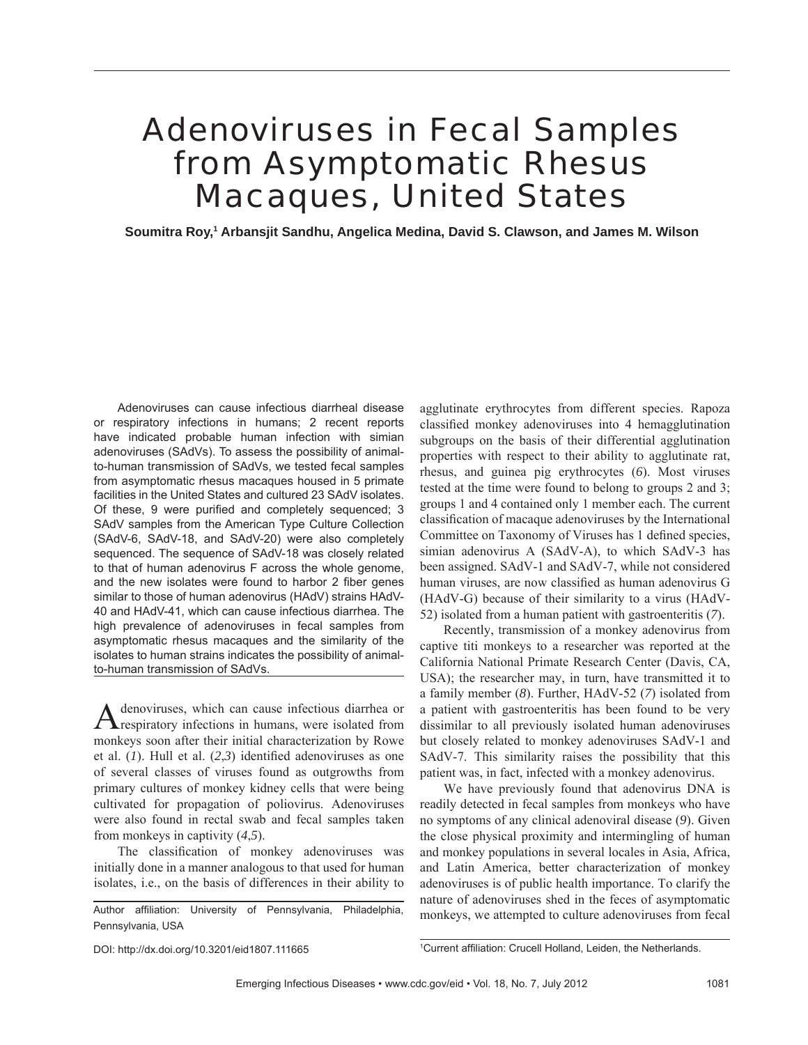## Adenoviruses in Fecal Samples from Asymptomatic Rhesus Macaques, United States

Soumitra Roy,<sup>1</sup> Arbansjit Sandhu, Angelica Medina, David S. Clawson, and James M. Wilson

Adenoviruses can cause infectious diarrheal disease or respiratory infections in humans; 2 recent reports have indicated probable human infection with simian adenoviruses (SAdVs). To assess the possibility of animalto-human transmission of SAdVs, we tested fecal samples from asymptomatic rhesus macaques housed in 5 primate facilities in the United States and cultured 23 SAdV isolates. Of these, 9 were purified and completely sequenced; 3 SAdV samples from the American Type Culture Collection (SAdV-6, SAdV-18, and SAdV-20) were also completely sequenced. The sequence of SAdV-18 was closely related to that of human adenovirus F across the whole genome, and the new isolates were found to harbor 2 fiber genes similar to those of human adenovirus (HAdV) strains HAdV-40 and HAdV-41, which can cause infectious diarrhea. The high prevalence of adenoviruses in fecal samples from asymptomatic rhesus macaques and the similarity of the isolates to human strains indicates the possibility of animalto-human transmission of SAdVs.

A denoviruses, which can cause infectious diarrhea or respiratory infections in humans, were isolated from monkeys soon after their initial characterization by Rowe et al.  $(1)$ . Hull et al.  $(2,3)$  identified adenoviruses as one of several classes of viruses found as outgrowths from primary cultures of monkey kidney cells that were being cultivated for propagation of poliovirus. Adenoviruses were also found in rectal swab and fecal samples taken from monkeys in captivity (*4*,*5*).

The classification of monkey adenoviruses was initially done in a manner analogous to that used for human isolates, i.e., on the basis of differences in their ability to

agglutinate erythrocytes from different species. Rapoza classified monkey adenoviruses into 4 hemagglutination subgroups on the basis of their differential agglutination properties with respect to their ability to agglutinate rat, rhesus, and guinea pig erythrocytes (*6*). Most viruses tested at the time were found to belong to groups 2 and 3; groups 1 and 4 contained only 1 member each. The current classification of macaque adenoviruses by the International Committee on Taxonomy of Viruses has 1 defined species, simian adenovirus A (SAdV-A), to which SAdV-3 has been assigned. SAdV-1 and SAdV-7, while not considered human viruses, are now classified as human adenovirus G (HAdV-G) because of their similarity to a virus (HAdV-52) isolated from a human patient with gastroenteritis (*7*).

Recently, transmission of a monkey adenovirus from captive titi monkeys to a researcher was reported at the California National Primate Research Center (Davis, CA, USA); the researcher may, in turn, have transmitted it to a family member (*8*). Further, HAdV-52 (*7*) isolated from a patient with gastroenteritis has been found to be very dissimilar to all previously isolated human adenoviruses but closely related to monkey adenoviruses SAdV-1 and SAdV-7. This similarity raises the possibility that this patient was, in fact, infected with a monkey adenovirus.

We have previously found that adenovirus DNA is readily detected in fecal samples from monkeys who have no symptoms of any clinical adenoviral disease (*9*). Given the close physical proximity and intermingling of human and monkey populations in several locales in Asia, Africa, and Latin America, better characterization of monkey adenoviruses is of public health importance. To clarify the nature of adenoviruses shed in the feces of asymptomatic monkeys, we attempted to culture adenoviruses from fecal

Author affiliation: University of Pennsylvania, Philadelphia, Pennsylvania, USA

DOI: http://dx.doi.org/10.3201/eid1807.111665

<sup>&</sup>lt;sup>1</sup>Current affiliation: Crucell Holland, Leiden, the Netherlands.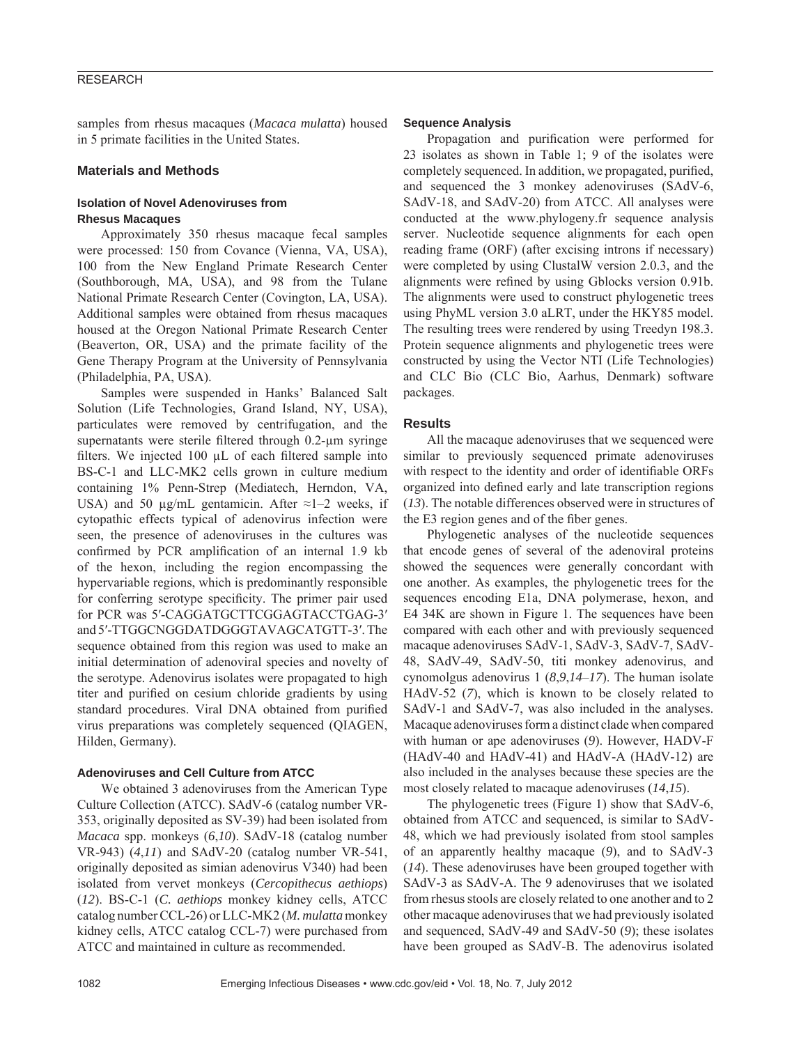samples from rhesus macaques (*Macaca mulatta*) housed in 5 primate facilities in the United States.

#### **Materials and Methods**

#### **Isolation of Novel Adenoviruses from Rhesus Macaques**

Approximately 350 rhesus macaque fecal samples were processed: 150 from Covance (Vienna, VA, USA), 100 from the New England Primate Research Center (Southborough, MA, USA), and 98 from the Tulane National Primate Research Center (Covington, LA, USA). Additional samples were obtained from rhesus macaques housed at the Oregon National Primate Research Center (Beaverton, OR, USA) and the primate facility of the Gene Therapy Program at the University of Pennsylvania (Philadelphia, PA, USA).

Samples were suspended in Hanks' Balanced Salt Solution (Life Technologies, Grand Island, NY, USA), particulates were removed by centrifugation, and the supernatants were sterile filtered through  $0.2$ -μm syringe filters. We injected  $100 \mu L$  of each filtered sample into BS-C-1 and LLC-MK2 cells grown in culture medium containing 1% Penn-Strep (Mediatech, Herndon, VA, USA) and 50 μg/mL gentamicin. After  $\approx$ 1–2 weeks, if cytopathic effects typical of adenovirus infection were seen, the presence of adenoviruses in the cultures was confirmed by PCR amplification of an internal 1.9 kb of the hexon, including the region encompassing the hypervariable regions, which is predominantly responsible for conferring serotype specificity. The primer pair used for PCR was 5′-CAGGATGCTTCGGAGTACCTGAG-3′ and 5′-TTGGCNGGDATDGGGTAVAGCATGTT-3′. The sequence obtained from this region was used to make an initial determination of adenoviral species and novelty of the serotype. Adenovirus isolates were propagated to high titer and purified on cesium chloride gradients by using standard procedures. Viral DNA obtained from purified virus preparations was completely sequenced (QIAGEN, Hilden, Germany).

#### **Adenoviruses and Cell Culture from ATCC**

We obtained 3 adenoviruses from the American Type Culture Collection (ATCC). SAdV-6 (catalog number VR-353, originally deposited as SV-39) had been isolated from *Macaca* spp. monkeys (*6*,*10*). SAdV-18 (catalog number VR-943) (*4*,*11*) and SAdV-20 (catalog number VR-541, originally deposited as simian adenovirus V340) had been isolated from vervet monkeys (*Cercopithecus aethiops*) (*12*). BS-C-1 (*C. aethiops* monkey kidney cells, ATCC catalog number CCL-26) or LLC-MK2 (*M. mulatta* monkey kidney cells, ATCC catalog CCL-7) were purchased from ATCC and maintained in culture as recommended.

#### **Sequence Analysis**

Propagation and purification were performed for 23 isolates as shown in Table 1; 9 of the isolates were completely sequenced. In addition, we propagated, purified, and sequenced the 3 monkey adenoviruses (SAdV-6, SAdV-18, and SAdV-20) from ATCC. All analyses were conducted at the www.phylogeny.fr sequence analysis server. Nucleotide sequence alignments for each open reading frame (ORF) (after excising introns if necessary) were completed by using ClustalW version 2.0.3, and the alignments were refined by using Gblocks version 0.91b. The alignments were used to construct phylogenetic trees using PhyML version 3.0 aLRT, under the HKY85 model. The resulting trees were rendered by using Treedyn 198.3. Protein sequence alignments and phylogenetic trees were constructed by using the Vector NTI (Life Technologies) and CLC Bio (CLC Bio, Aarhus, Denmark) software packages.

#### **Results**

All the macaque adenoviruses that we sequenced were similar to previously sequenced primate adenoviruses with respect to the identity and order of identifiable ORFs organized into defined early and late transcription regions (*13*). The notable differences observed were in structures of the E3 region genes and of the fiber genes.

Phylogenetic analyses of the nucleotide sequences that encode genes of several of the adenoviral proteins showed the sequences were generally concordant with one another. As examples, the phylogenetic trees for the sequences encoding E1a, DNA polymerase, hexon, and E4 34K are shown in Figure 1. The sequences have been compared with each other and with previously sequenced macaque adenoviruses SAdV-1, SAdV-3, SAdV-7, SAdV-48, SAdV-49, SAdV-50, titi monkey adenovirus, and cynomolgus adenovirus 1 (*8*,*9*,*14*–*17*). The human isolate HAdV-52 (*7*), which is known to be closely related to SAdV-1 and SAdV-7, was also included in the analyses. Macaque adenoviruses form a distinct clade when compared with human or ape adenoviruses (*9*). However, HADV-F (HAdV-40 and HAdV-41) and HAdV-A (HAdV-12) are also included in the analyses because these species are the most closely related to macaque adenoviruses (*14*,*15*).

The phylogenetic trees (Figure 1) show that SAdV-6, obtained from ATCC and sequenced, is similar to SAdV-48, which we had previously isolated from stool samples of an apparently healthy macaque (*9*), and to SAdV-3 (*14*). These adenoviruses have been grouped together with SAdV-3 as SAdV-A. The 9 adenoviruses that we isolated from rhesus stools are closely related to one another and to 2 other macaque adenoviruses that we had previously isolated and sequenced, SAdV-49 and SAdV-50 (*9*); these isolates have been grouped as SAdV-B. The adenovirus isolated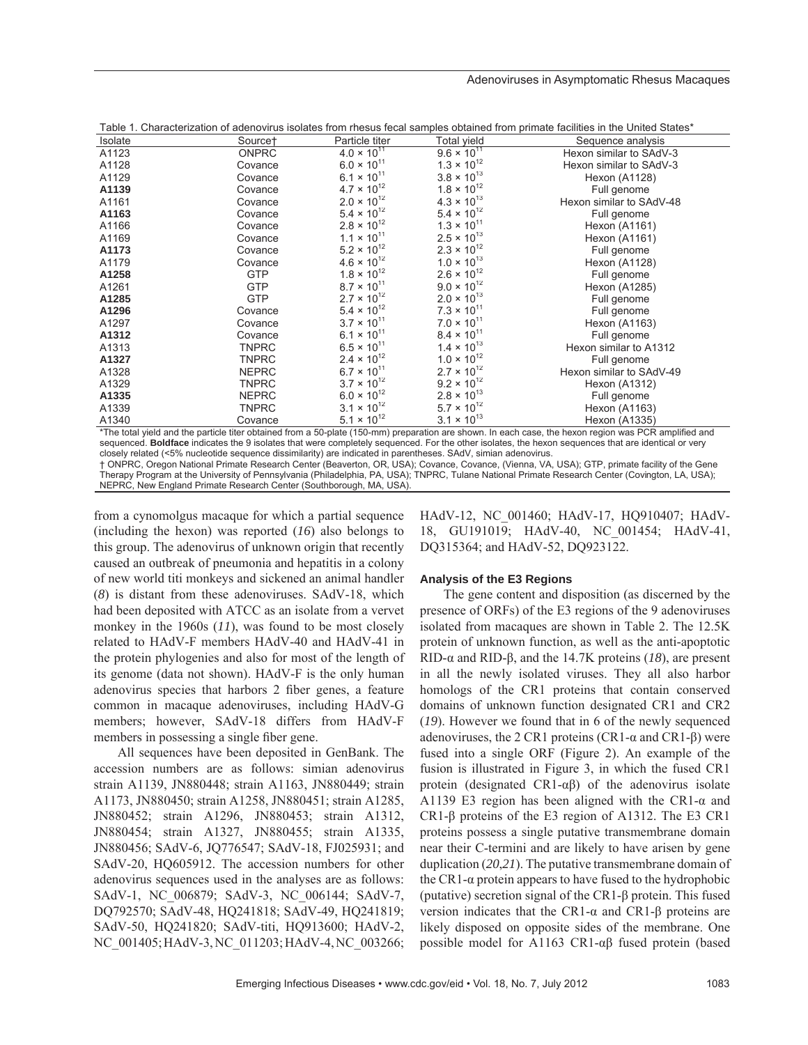#### Adenoviruses in Asymptomatic Rhesus Macaques

|         |              |                      |                      | l able 1. Characterization of adenovirus isolates from rhesus fecal samples obtained from primate facilities in the United States* |
|---------|--------------|----------------------|----------------------|------------------------------------------------------------------------------------------------------------------------------------|
| Isolate | Source†      | Particle titer       | Total yield          | Sequence analysis                                                                                                                  |
| A1123   | <b>ONPRC</b> | $4.0 \times 10^{11}$ | $9.6 \times 10^{11}$ | Hexon similar to SAdV-3                                                                                                            |
| A1128   | Covance      | $6.0 \times 10^{11}$ | $1.3 \times 10^{12}$ | Hexon similar to SAdV-3                                                                                                            |
| A1129   | Covance      | $6.1 \times 10^{11}$ | $3.8 \times 10^{13}$ | Hexon (A1128)                                                                                                                      |
| A1139   | Covance      | $4.7 \times 10^{12}$ | $1.8 \times 10^{12}$ | Full genome                                                                                                                        |
| A1161   | Covance      | $2.0 \times 10^{12}$ | $4.3 \times 10^{13}$ | Hexon similar to SAdV-48                                                                                                           |
| A1163   | Covance      | $5.4 \times 10^{12}$ | $5.4 \times 10^{12}$ | Full genome                                                                                                                        |
| A1166   | Covance      | $2.8 \times 10^{12}$ | $1.3 \times 10^{11}$ | Hexon (A1161)                                                                                                                      |
| A1169   | Covance      | $1.1 \times 10^{11}$ | $2.5 \times 10^{13}$ | Hexon (A1161)                                                                                                                      |
| A1173   | Covance      | $5.2 \times 10^{12}$ | $2.3 \times 10^{12}$ | Full genome                                                                                                                        |
| A1179   | Covance      | $4.6 \times 10^{12}$ | $1.0 \times 10^{13}$ | Hexon (A1128)                                                                                                                      |
| A1258   | <b>GTP</b>   | $1.8 \times 10^{12}$ | $2.6 \times 10^{12}$ | Full genome                                                                                                                        |
| A1261   | <b>GTP</b>   | $8.7 \times 10^{11}$ | $9.0 \times 10^{12}$ | Hexon (A1285)                                                                                                                      |
| A1285   | <b>GTP</b>   | $2.7 \times 10^{12}$ | $2.0 \times 10^{13}$ | Full genome                                                                                                                        |
| A1296   | Covance      | $5.4 \times 10^{12}$ | $7.3 \times 10^{11}$ | Full genome                                                                                                                        |
| A1297   | Covance      | $3.7 \times 10^{11}$ | $7.0 \times 10^{11}$ | Hexon (A1163)                                                                                                                      |
| A1312   | Covance      | $6.1 \times 10^{11}$ | $8.4 \times 10^{11}$ | Full genome                                                                                                                        |
| A1313   | <b>TNPRC</b> | $6.5 \times 10^{11}$ | $1.4 \times 10^{13}$ | Hexon similar to A1312                                                                                                             |
| A1327   | <b>TNPRC</b> | $2.4 \times 10^{12}$ | $1.0 \times 10^{12}$ | Full genome                                                                                                                        |
| A1328   | <b>NEPRC</b> | $6.7 \times 10^{11}$ | $2.7 \times 10^{12}$ | Hexon similar to SAdV-49                                                                                                           |
| A1329   | <b>TNPRC</b> | $3.7 \times 10^{12}$ | $9.2 \times 10^{12}$ | Hexon (A1312)                                                                                                                      |
| A1335   | <b>NEPRC</b> | $6.0 \times 10^{12}$ | $2.8 \times 10^{13}$ | Full genome                                                                                                                        |
| A1339   | <b>TNPRC</b> | $3.1 \times 10^{12}$ | $5.7 \times 10^{12}$ | Hexon (A1163)                                                                                                                      |
| A1340   | Covance      | $5.1 \times 10^{12}$ | $3.1 \times 10^{13}$ | Hexon (A1335)                                                                                                                      |
|         |              |                      |                      |                                                                                                                                    |

Table 1. Characterization of adenovirus isolates from rhesus fecal samples obtained from primate facilities in the United States\*

The total yield and the particle titer obtained from a 50-plate (150-mm) preparation are shown. In each case, the hexon region was PCR amplified and sequenced. **Boldface** indicates the 9 isolates that were completely sequenced. For the other isolates, the hexon sequences that are identical or very closely related (<5% nucleotide sequence dissimilarity) are indicated in parentheses. SAdV, simian adenovirus. † ONPRC, Oregon National Primate Research Center (Beaverton, OR, USA); Covance, Covance, (Vienna, VA, USA); GTP, primate facility of the Gene

Therapy Program at the University of Pennsylvania (Philadelphia, PA, USA); TNPRC, Tulane National Primate Research Center (Covington, LA, USA); NEPRC, New England Primate Research Center (Southborough, MA, USA).

from a cynomolgus macaque for which a partial sequence (including the hexon) was reported (*16*) also belongs to this group. The adenovirus of unknown origin that recently caused an outbreak of pneumonia and hepatitis in a colony of new world titi monkeys and sickened an animal handler (*8*) is distant from these adenoviruses. SAdV-18, which had been deposited with ATCC as an isolate from a vervet monkey in the 1960s (*11*), was found to be most closely related to HAdV-F members HAdV-40 and HAdV-41 in the protein phylogenies and also for most of the length of its genome (data not shown). HAdV-F is the only human adenovirus species that harbors 2 fiber genes, a feature common in macaque adenoviruses, including HAdV-G members; however, SAdV-18 differs from HAdV-F members in possessing a single fiber gene.

All sequences have been deposited in GenBank. The accession numbers are as follows: simian adenovirus strain A1139, JN880448; strain A1163, JN880449; strain A1173, JN880450; strain A1258, JN880451; strain A1285, JN880452; strain A1296, JN880453; strain A1312, JN880454; strain A1327, JN880455; strain A1335, JN880456; SAdV-6, JQ776547; SAdV-18, FJ025931; and SAdV-20, HQ605912. The accession numbers for other adenovirus sequences used in the analyses are as follows: SAdV-1, NC\_006879; SAdV-3, NC\_006144; SAdV-7, DQ792570; SAdV-48, HQ241818; SAdV-49, HQ241819; SAdV-50, HQ241820; SAdV-titi, HQ913600; HAdV-2, NC\_001405; HAdV-3, NC\_011203; HAdV-4, NC\_003266;

HAdV-12, NC\_001460; HAdV-17, HQ910407; HAdV-18, GU191019; HAdV-40, NC\_001454; HAdV-41, DQ315364; and HAdV-52, DQ923122.

#### **Analysis of the E3 Regions**

The gene content and disposition (as discerned by the presence of ORFs) of the E3 regions of the 9 adenoviruses isolated from macaques are shown in Table 2. The 12.5K protein of unknown function, as well as the anti-apoptotic RID-α and RID-β, and the 14.7K proteins (*18*), are present in all the newly isolated viruses. They all also harbor homologs of the CR1 proteins that contain conserved domains of unknown function designated CR1 and CR2 (*19*). However we found that in 6 of the newly sequenced adenoviruses, the 2 CR1 proteins (CR1- $\alpha$  and CR1- $\beta$ ) were fused into a single ORF (Figure 2). An example of the fusion is illustrated in Figure 3, in which the fused CR1 protein (designated CR1- $\alpha\beta$ ) of the adenovirus isolate A1139 E3 region has been aligned with the CR1- $\alpha$  and CR1-β proteins of the E3 region of A1312. The E3 CR1 proteins possess a single putative transmembrane domain near their C-termini and are likely to have arisen by gene duplication (*20*,*21*). The putative transmembrane domain of the CR1- $\alpha$  protein appears to have fused to the hydrophobic (putative) secretion signal of the CR1-β protein. This fused version indicates that the CR1-α and CR1-β proteins are likely disposed on opposite sides of the membrane. One possible model for A1163 CR1-αβ fused protein (based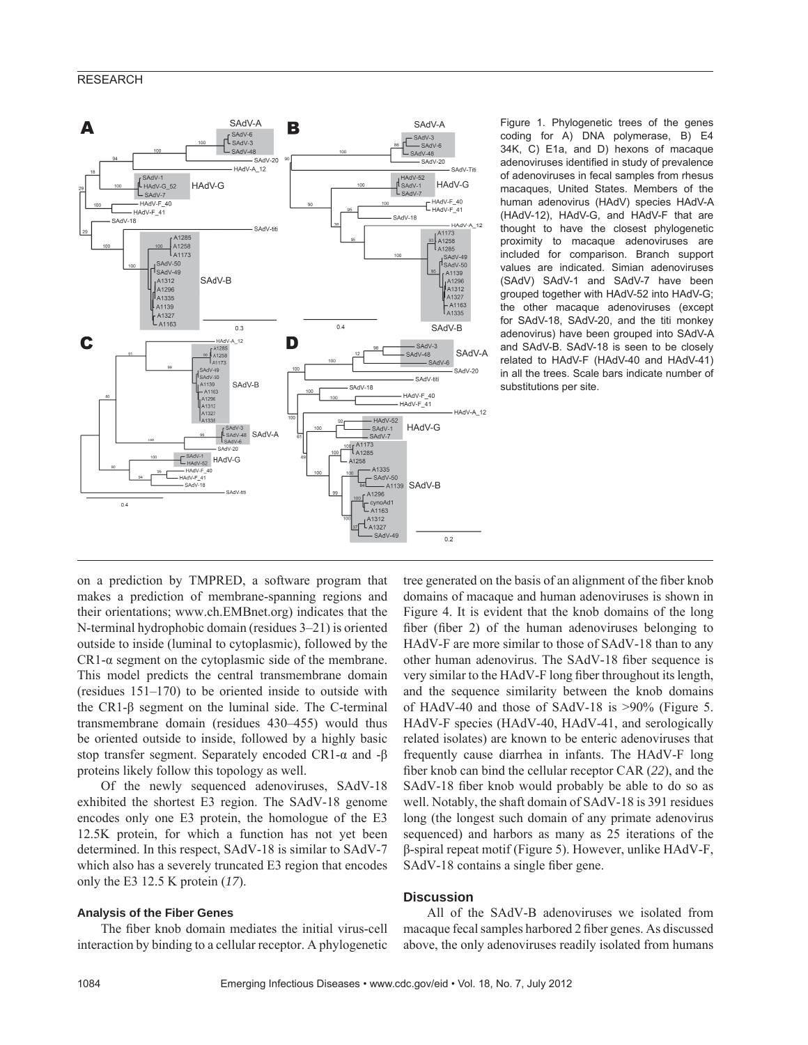

Figure 1. Phylogenetic trees of the genes coding for A) DNA polymerase, B) E4 34K, C) E1a, and D) hexons of macaque adenoviruses identified in study of prevalence of adenoviruses in fecal samples from rhesus macaques, United States. Members of the human adenovirus (HAdV) species HAdV-A (HAdV-12), HAdV-G, and HAdV-F that are thought to have the closest phylogenetic proximity to macaque adenoviruses are included for comparison. Branch support values are indicated. Simian adenoviruses (SAdV) SAdV-1 and SAdV-7 have been grouped together with HAdV-52 into HAdV-G; the other macaque adenoviruses (except for SAdV-18, SAdV-20, and the titi monkey adenovirus) have been grouped into SAdV-A and SAdV-B. SAdV-18 is seen to be closely related to HAdV-F (HAdV-40 and HAdV-41) in all the trees. Scale bars indicate number of substitutions per site.

on a prediction by TMPRED, a software program that makes a prediction of membrane-spanning regions and their orientations; www.ch.EMBnet.org) indicates that the N-terminal hydrophobic domain (residues 3–21) is oriented outside to inside (luminal to cytoplasmic), followed by the CR1-α segment on the cytoplasmic side of the membrane. This model predicts the central transmembrane domain (residues 151–170) to be oriented inside to outside with the CR1-β segment on the luminal side. The C-terminal transmembrane domain (residues 430–455) would thus be oriented outside to inside, followed by a highly basic stop transfer segment. Separately encoded CR1-α and -β proteins likely follow this topology as well.

Of the newly sequenced adenoviruses, SAdV-18 exhibited the shortest E3 region. The SAdV-18 genome encodes only one E3 protein, the homologue of the E3 12.5K protein, for which a function has not yet been determined. In this respect, SAdV-18 is similar to SAdV-7 which also has a severely truncated E3 region that encodes only the E3 12.5 K protein (*17*).

#### **Analysis of the Fiber Genes**

The fiber knob domain mediates the initial virus-cell interaction by binding to a cellular receptor. A phylogenetic tree generated on the basis of an alignment of the fiber knob domains of macaque and human adenoviruses is shown in Figure 4. It is evident that the knob domains of the long fiber (fiber 2) of the human adenoviruses belonging to HAdV-F are more similar to those of SAdV-18 than to any other human adenovirus. The SAdV-18 fiber sequence is very similar to the HAdV-F long fiber throughout its length, and the sequence similarity between the knob domains of HAdV-40 and those of SAdV-18 is >90% (Figure 5. HAdV-F species (HAdV-40, HAdV-41, and serologically related isolates) are known to be enteric adenoviruses that frequently cause diarrhea in infants. The HAdV-F long fiber knob can bind the cellular receptor CAR (22), and the SAdV-18 fiber knob would probably be able to do so as well. Notably, the shaft domain of SAdV-18 is 391 residues long (the longest such domain of any primate adenovirus sequenced) and harbors as many as 25 iterations of the β-spiral repeat motif (Figure 5). However, unlike HAdV-F, SAdV-18 contains a single fiber gene.

#### **Discussion**

All of the SAdV-B adenoviruses we isolated from macaque fecal samples harbored 2 fiber genes. As discussed above, the only adenoviruses readily isolated from humans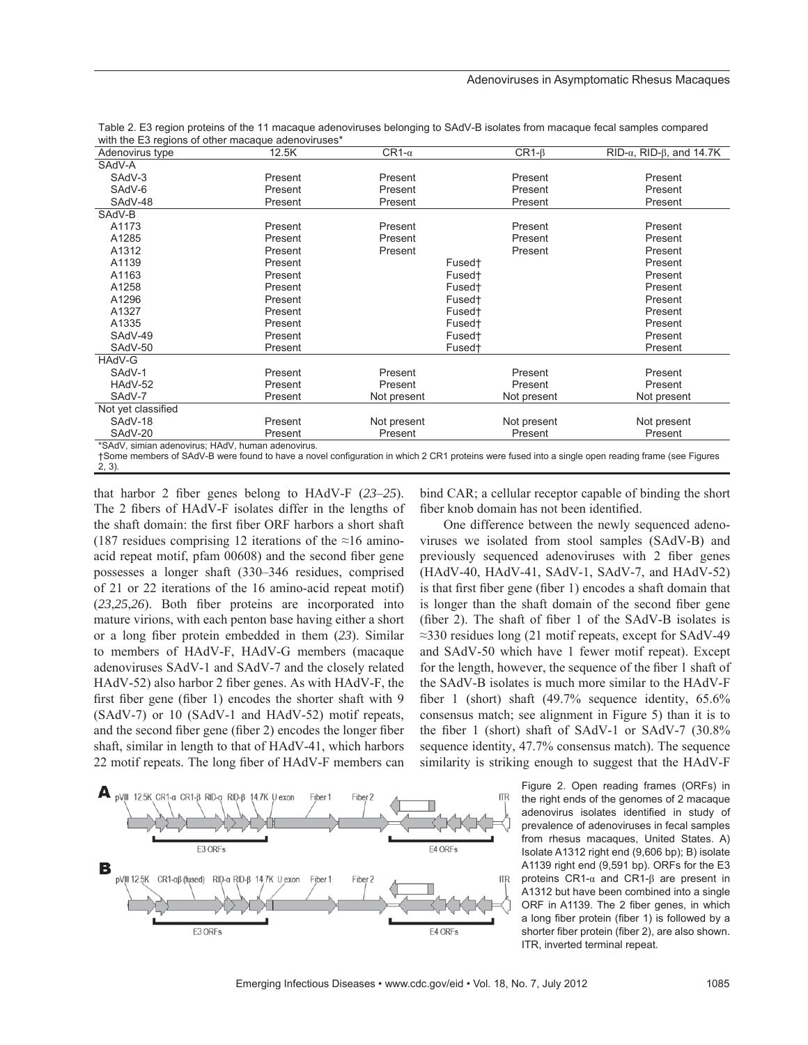| Adenovirus type                                | 12.5K   | $CR1-\alpha$ | $CR1-\beta$        | $RID-\alpha$ , $RID-\beta$ , and 14.7K |
|------------------------------------------------|---------|--------------|--------------------|----------------------------------------|
| SAdV-A                                         |         |              |                    |                                        |
| SAdV-3                                         | Present | Present      | Present            | Present                                |
| SAdV-6                                         | Present | Present      | Present            | Present                                |
| SAdV-48                                        | Present | Present      | Present            | Present                                |
| SAdV-B                                         |         |              |                    |                                        |
| A1173                                          | Present | Present      | Present            | Present                                |
| A1285                                          | Present | Present      | Present            | Present                                |
| A1312                                          | Present | Present      | Present            | Present                                |
| A1139                                          | Present |              | Fused <sup>+</sup> | Present                                |
| A1163                                          | Present |              | Fused <sup>+</sup> | Present                                |
| A1258                                          | Present |              | Fused <sup>+</sup> | Present                                |
| A1296                                          | Present |              | Fused <sup>+</sup> | Present                                |
| A1327                                          | Present |              | Fused <sup>+</sup> | Present                                |
| A1335                                          | Present |              | Fused <sup>+</sup> | Present                                |
| SAdV-49                                        | Present |              | Fused <sup>+</sup> | Present                                |
| SAdV-50                                        | Present |              | Fused <sup>+</sup> | Present                                |
| HAdV-G                                         |         |              |                    |                                        |
| SAdV-1                                         | Present | Present      | Present            | Present                                |
| HAdV-52                                        | Present | Present      | Present            | Present                                |
| SAdV-7                                         | Present | Not present  | Not present        | Not present                            |
| Not yet classified                             |         |              |                    |                                        |
| SAdV-18                                        | Present | Not present  | Not present        | Not present                            |
| SAdV-20                                        | Present | Present      | Present            | Present                                |
| *SAdV simian adenovirus: HAdV human adenovirus |         |              |                    |                                        |

Table 2. E3 region proteins of the 11 macaque adenoviruses belonging to SAdV-B isolates from macaque fecal samples compared with the E3 regions of other macaque adenoviruses\*

\*SAdV, simian adenovirus; HAdV, human adenovirus.

†Some members of SAdV-B were found to have a novel configuration in which 2 CR1 proteins were fused into a single open reading frame (see Figures 2, 3).

that harbor 2 fiber genes belong to HAdV-F  $(23-25)$ . The 2 fibers of HAdV-F isolates differ in the lengths of the shaft domain: the first fiber ORF harbors a short shaft (187 residues comprising 12 iterations of the ≈16 aminoacid repeat motif, pfam 00608) and the second fiber gene possesses a longer shaft (330–346 residues, comprised of 21 or 22 iterations of the 16 amino-acid repeat motif)  $(23,25,26)$ . Both fiber proteins are incorporated into mature virions, with each penton base having either a short or a long fiber protein embedded in them (23). Similar to members of HAdV-F, HAdV-G members (macaque adenoviruses SAdV-1 and SAdV-7 and the closely related HAdV-52) also harbor 2 fiber genes. As with HAdV-F, the first fiber gene (fiber 1) encodes the shorter shaft with  $9$ (SAdV-7) or 10 (SAdV-1 and HAdV-52) motif repeats, and the second fiber gene (fiber 2) encodes the longer fiber shaft, similar in length to that of HAdV-41, which harbors 22 motif repeats. The long fiber of HAdV-F members can

bind CAR; a cellular receptor capable of binding the short fiber knob domain has not been identified.

One difference between the newly sequenced adenoviruses we isolated from stool samples (SAdV-B) and previously sequenced adenoviruses with 2 fiber genes (HAdV-40, HAdV-41, SAdV-1, SAdV-7, and HAdV-52) is that first fiber gene (fiber 1) encodes a shaft domain that is longer than the shaft domain of the second fiber gene (fiber 2). The shaft of fiber 1 of the SAdV-B isolates is ≈330 residues long (21 motif repeats, except for SAdV-49 and SAdV-50 which have 1 fewer motif repeat). Except for the length, however, the sequence of the fiber 1 shaft of the SAdV-B isolates is much more similar to the HAdV-F fiber 1 (short) shaft  $(49.7\%$  sequence identity,  $65.6\%$ consensus match; see alignment in Figure 5) than it is to the fiber 1 (short) shaft of SAdV-1 or SAdV-7  $(30.8\%$ sequence identity, 47.7% consensus match). The sequence similarity is striking enough to suggest that the HAdV-F



Figure 2. Open reading frames (ORFs) in the right ends of the genomes of 2 macaque adenovirus isolates identified in study of prevalence of adenoviruses in fecal samples from rhesus macaques, United States. A) Isolate A1312 right end (9,606 bp); B) isolate A1139 right end (9,591 bp). ORFs for the E3 proteins CR1-α and CR1-β are present in A1312 but have been combined into a single ORF in A1139. The 2 fiber genes, in which a long fiber protein (fiber 1) is followed by a shorter fiber protein (fiber 2), are also shown. ITR, inverted terminal repeat.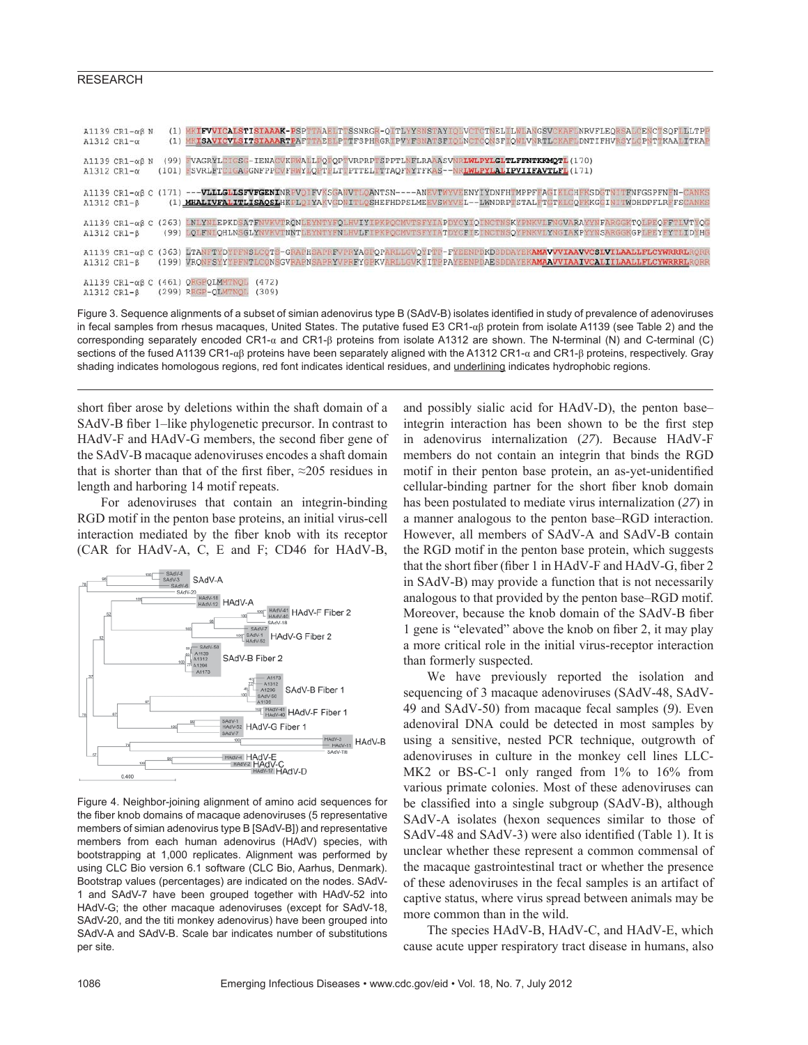| A1139 CR1- $\alpha$ $\beta$ N<br>A1312 CR1- $\alpha$ | (1) MKIFVVICALSTISIAAAK-PSPTTAAELTTSSNRGR-OITLYYSNSTAYIOLVCTCTNELILWLANGSVCKAFLNRVFLEORSALCENCTSOFLLLTPP<br>(1) MKISAVICVLSITSIAAARTPAFTTAEELPTTFSPHRGRIPVYFSNATSFIOLNCTCONSFIOWLVNRTLCKAFLDNTIFHVRSYLCPNTTKAALITKAP                    |
|------------------------------------------------------|-----------------------------------------------------------------------------------------------------------------------------------------------------------------------------------------------------------------------------------------|
| A1139 CR1 $-\alpha\beta$ N<br>A1312 $CR1-\alpha$     | (99) FVAGRYLCIGSG-IENACVKRWALLPOPOPTVRPRPTSPPTLNFLRAAASVNRLWLPYLGLTLFFNTKKMOTL(170)<br>(101) FSVRLFTCIGAGGNFPPCVFRWYLQPTPLTTPTTELTTTAQFNYTFKAS--NRLWLPYLALIPVIIFAVTLFL(171)                                                             |
| A1312 CR1-B                                          | A1139 CR1-QB C (171) --- VLLLGLLSFVFGENINRPVOIFVKSGANVTLOANTSN----ANEVTWYVEENYIYDNFHTMPPFFAGIKLCHFKSDGTNITFNFGSPFNFN-CANKS<br>(1) MHALIVFALITLISAOSLHKPLOIYAKVGDNITLOSHEFHDPSLMEEVSWYVEL--LWNDRPTSTALFTGTKLCOFKKGGINITWDHDPFLRFFSCANKS  |
| A1312 CR1-B                                          | A1139 CR1-aß C (263) LNLYNLEPKDSATFNVKVTRÖNLEYNTYFÖLHVIYIPKPOCMVTSFYIAPDYCYIOINCTNSKYPNKVLFNGVARAYYNFARGGKTÖLPEÖFFTLVTVÖG<br>(99) LOLENLOHLNSGLYNVKVTNNTLEYNTYFNLHVLEIPKPOCMVTSFYIATDYCFIEINCTNSOYPNKVLYNGIAKPYYNSARGGKGPLPEYFYTLIDYHG  |
| A1312 CR1-B                                          | A1139 CR1-aß C (363) LTANFTYDYPFNSLCQTS-GRAPHSAPRFVPRYAGPQPARLLGVQYPTP-FYEENPDKDSDDAYEKAMAVVVIAAVVCSLVILAALLFLCYWRRRLRQRR<br>(199) VRONFSYYYPFNTLCONSGVRAPNSAPRYVPRFYGPKVARLLGVKYITPPAYEENPDAESDDAYEKAMAAVVIAAIVCALIILAALLFLCYWRRRLRORR |
| A1139 CR1-aß C (461) ORGPOLMMTNOL<br>A1312 CR1-B     | (472)<br>(299) RRGP-QLMTNOL<br>(309)                                                                                                                                                                                                    |

Figure 3. Sequence alignments of a subset of simian adenovirus type B (SAdV-B) isolates identified in study of prevalence of adenoviruses in fecal samples from rhesus macaques, United States. The putative fused E3 CR1-αβ protein from isolate A1139 (see Table 2) and the corresponding separately encoded CR1-α and CR1-β proteins from isolate A1312 are shown. The N-terminal (N) and C-terminal (C) sections of the fused A1139 CR1-αβ proteins have been separately aligned with the A1312 CR1-α and CR1-β proteins, respectively. Gray shading indicates homologous regions, red font indicates identical residues, and underlining indicates hydrophobic regions.

short fiber arose by deletions within the shaft domain of a SAdV-B fiber 1–like phylogenetic precursor. In contrast to HAdV-F and HAdV-G members, the second fiber gene of the SAdV-B macaque adenoviruses encodes a shaft domain that is shorter than that of the first fiber,  $\approx$ 205 residues in length and harboring 14 motif repeats.

For adenoviruses that contain an integrin-binding RGD motif in the penton base proteins, an initial virus-cell interaction mediated by the fiber knob with its receptor (CAR for HAdV-A, C, E and F; CD46 for HAdV-B,



Figure 4. Neighbor-joining alignment of amino acid sequences for the fiber knob domains of macaque adenoviruses (5 representative members of simian adenovirus type B [SAdV-B]) and representative members from each human adenovirus (HAdV) species, with bootstrapping at 1,000 replicates. Alignment was performed by using CLC Bio version 6.1 software (CLC Bio, Aarhus, Denmark). Bootstrap values (percentages) are indicated on the nodes. SAdV-1 and SAdV-7 have been grouped together with HAdV-52 into HAdV-G; the other macaque adenoviruses (except for SAdV-18, SAdV-20, and the titi monkey adenovirus) have been grouped into SAdV-A and SAdV-B. Scale bar indicates number of substitutions per site.

and possibly sialic acid for HAdV-D), the penton base– integrin interaction has been shown to be the first step in adenovirus internalization (*27*). Because HAdV-F members do not contain an integrin that binds the RGD motif in their penton base protein, an as-yet-unidentified cellular-binding partner for the short fiber knob domain has been postulated to mediate virus internalization (*27*) in a manner analogous to the penton base–RGD interaction. However, all members of SAdV-A and SAdV-B contain the RGD motif in the penton base protein, which suggests that the short fiber (fiber 1 in HAdV-F and HAdV-G, fiber 2 in SAdV-B) may provide a function that is not necessarily analogous to that provided by the penton base–RGD motif. Moreover, because the knob domain of the SAdV-B fiber 1 gene is "elevated" above the knob on fiber 2, it may play a more critical role in the initial virus-receptor interaction than formerly suspected.

We have previously reported the isolation and sequencing of 3 macaque adenoviruses (SAdV-48, SAdV-49 and SAdV-50) from macaque fecal samples (*9*). Even adenoviral DNA could be detected in most samples by using a sensitive, nested PCR technique, outgrowth of adenoviruses in culture in the monkey cell lines LLC-MK2 or BS-C-1 only ranged from 1% to 16% from various primate colonies. Most of these adenoviruses can be classified into a single subgroup (SAdV-B), although SAdV-A isolates (hexon sequences similar to those of SAdV-48 and SAdV-3) were also identified (Table 1). It is unclear whether these represent a common commensal of the macaque gastrointestinal tract or whether the presence of these adenoviruses in the fecal samples is an artifact of captive status, where virus spread between animals may be more common than in the wild.

The species HAdV-B, HAdV-C, and HAdV-E, which cause acute upper respiratory tract disease in humans, also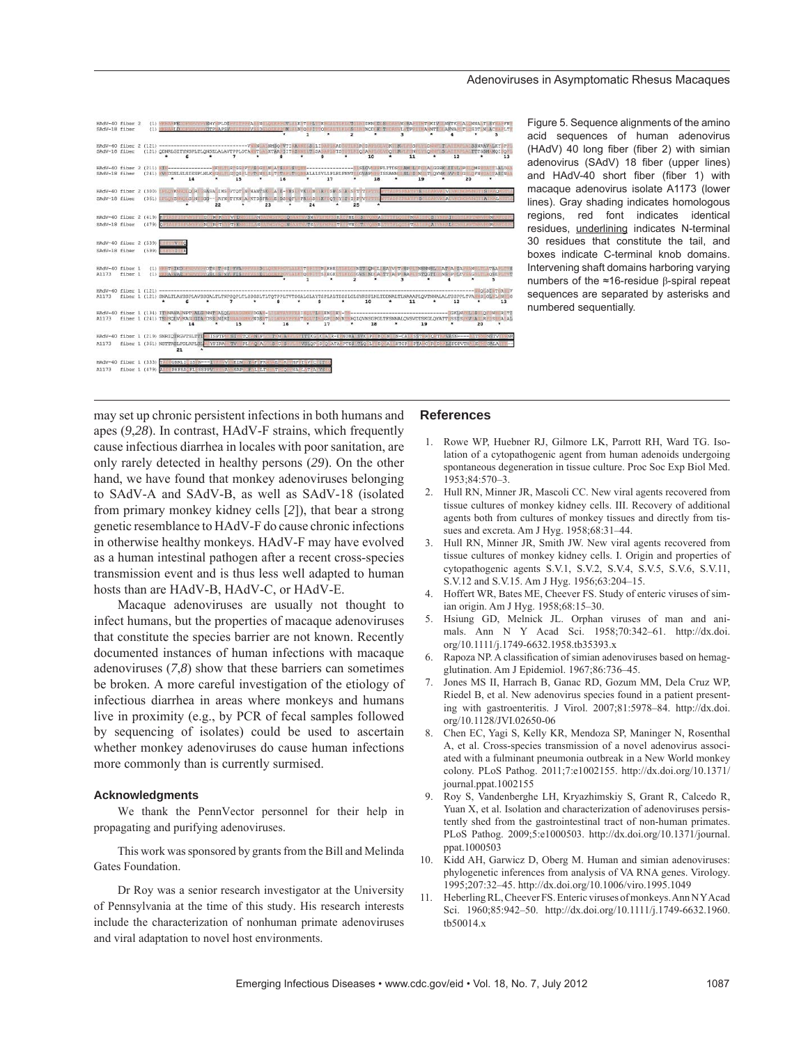

Figure 5. Sequence alignments of the amino acid sequences of human adenovirus (HAdV) 40 long fiber (fiber 2) with simian adenovirus (SAdV) 18 fiber (upper lines) and HAdV-40 short fiber (fiber 1) with macaque adenovirus isolate A1173 (lower lines). Gray shading indicates homologous regions, red font indicates identical residues, underlining indicates N-terminal 30 residues that constitute the tail, and boxes indicate C-terminal knob domains. Intervening shaft domains harboring varying numbers of the ≈16-residue β-spiral repeat sequences are separated by asterisks and numbered sequentially.

may set up chronic persistent infections in both humans and apes (*9*,*28*). In contrast, HAdV-F strains, which frequently cause infectious diarrhea in locales with poor sanitation, are only rarely detected in healthy persons (*29*). On the other hand, we have found that monkey adenoviruses belonging to SAdV-A and SAdV-B, as well as SAdV-18 (isolated from primary monkey kidney cells [*2*]), that bear a strong genetic resemblance to HAdV-F do cause chronic infections in otherwise healthy monkeys. HAdV-F may have evolved as a human intestinal pathogen after a recent cross-species transmission event and is thus less well adapted to human hosts than are HAdV-B, HAdV-C, or HAdV-E.

Macaque adenoviruses are usually not thought to infect humans, but the properties of macaque adenoviruses that constitute the species barrier are not known. Recently documented instances of human infections with macaque adenoviruses (*7*,*8*) show that these barriers can sometimes be broken. A more careful investigation of the etiology of infectious diarrhea in areas where monkeys and humans live in proximity (e.g., by PCR of fecal samples followed by sequencing of isolates) could be used to ascertain whether monkey adenoviruses do cause human infections more commonly than is currently surmised.

#### **Acknowledgments**

We thank the PennVector personnel for their help in propagating and purifying adenoviruses.

This work was sponsored by grants from the Bill and Melinda Gates Foundation.

Dr Roy was a senior research investigator at the University of Pennsylvania at the time of this study. His research interests include the characterization of nonhuman primate adenoviruses and viral adaptation to novel host environments.

#### **References**

- 1. Rowe WP, Huebner RJ, Gilmore LK, Parrott RH, Ward TG. Isolation of a cytopathogenic agent from human adenoids undergoing spontaneous degeneration in tissue culture. Proc Soc Exp Biol Med. 1953;84:570–3.
- 2. Hull RN, Minner JR, Mascoli CC. New viral agents recovered from tissue cultures of monkey kidney cells. III. Recovery of additional agents both from cultures of monkey tissues and directly from tissues and excreta. Am J Hyg. 1958;68:31–44.
- 3. Hull RN, Minner JR, Smith JW. New viral agents recovered from tissue cultures of monkey kidney cells. I. Origin and properties of cytopathogenic agents S.V.1, S.V.2, S.V.4, S.V.5, S.V.6, S.V.11, S.V.12 and S.V.15. Am J Hyg. 1956;63:204–15.
- 4. Hoffert WR, Bates ME, Cheever FS. Study of enteric viruses of simian origin. Am J Hyg. 1958;68:15–30.
- 5. Hsiung GD, Melnick JL. Orphan viruses of man and animals. Ann N Y Acad Sci. 1958;70:342–61. http://dx.doi. org/10.1111/j.1749-6632.1958.tb35393.x
- 6. Rapoza NP. A classification of simian adenoviruses based on hemagglutination. Am J Epidemiol. 1967;86:736–45.
- 7. Jones MS II, Harrach B, Ganac RD, Gozum MM, Dela Cruz WP, Riedel B, et al. New adenovirus species found in a patient presenting with gastroenteritis. J Virol. 2007;81:5978–84. http://dx.doi. org/10.1128/JVI.02650-06
- 8. Chen EC, Yagi S, Kelly KR, Mendoza SP, Maninger N, Rosenthal A, et al. Cross-species transmission of a novel adenovirus associated with a fulminant pneumonia outbreak in a New World monkey colony. PLoS Pathog. 2011;7:e1002155. http://dx.doi.org/10.1371/ journal.ppat.1002155
- 9. Roy S, Vandenberghe LH, Kryazhimskiy S, Grant R, Calcedo R, Yuan X, et al. Isolation and characterization of adenoviruses persistently shed from the gastrointestinal tract of non-human primates. PLoS Pathog. 2009;5:e1000503. http://dx.doi.org/10.1371/journal. ppat.1000503
- 10. Kidd AH, Garwicz D, Oberg M. Human and simian adenoviruses: phylogenetic inferences from analysis of VA RNA genes. Virology. 1995;207:32–45. http://dx.doi.org/10.1006/viro.1995.1049
- 11. Heberling RL, Cheever FS. Enteric viruses of monkeys. Ann N Y Acad Sci. 1960;85:942–50. http://dx.doi.org/10.1111/j.1749-6632.1960. tb50014.x